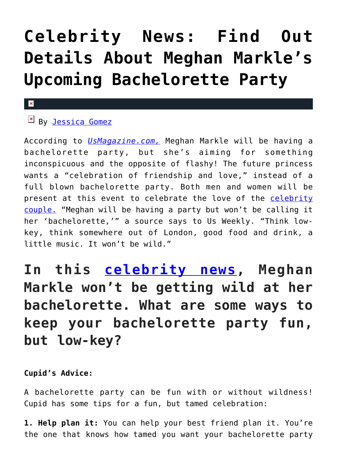# **[Celebrity News: Find Out](https://cupidspulse.com/122633/celebrity-news-meghan-markles-upcoming-bachelorette-party/) [Details About Meghan Markle's](https://cupidspulse.com/122633/celebrity-news-meghan-markles-upcoming-bachelorette-party/) [Upcoming Bachelorette Party](https://cupidspulse.com/122633/celebrity-news-meghan-markles-upcoming-bachelorette-party/)**

#### x

## **EX By [Jessica Gomez](http://cupidspulse.com/122405/jessica-gomez/)**

According to *[UsMagazine.com,](https://www.usmagazine.com/celebrity-news/news/meghan-markles-bachelorette-party-wont-be-wild/)* Meghan Markle will be having a bachelorette party, but she's aiming for something inconspicuous and the opposite of flashy! The future princess wants a "celebration of friendship and love," instead of a full blown bachelorette party. Both men and women will be present at this event to celebrate the love of the [celebrity](http://cupidspulse.com/celebrity-news/celebrity-dating/) [couple.](http://cupidspulse.com/celebrity-news/celebrity-dating/) "Meghan will be having a party but won't be calling it her 'bachelorette,'" a source says to Us Weekly. "Think lowkey, think somewhere out of London, good food and drink, a little music. It won't be wild."

# **In this [celebrity news,](http://cupidspulse.com/celebrity-news/) Meghan Markle won't be getting wild at her bachelorette. What are some ways to keep your bachelorette party fun, but low-key?**

### **Cupid's Advice:**

A bachelorette party can be fun with or without wildness! Cupid has some tips for a fun, but tamed celebration:

**1. Help plan it:** You can help your best friend plan it. You're the one that knows how tamed you want your bachelorette party